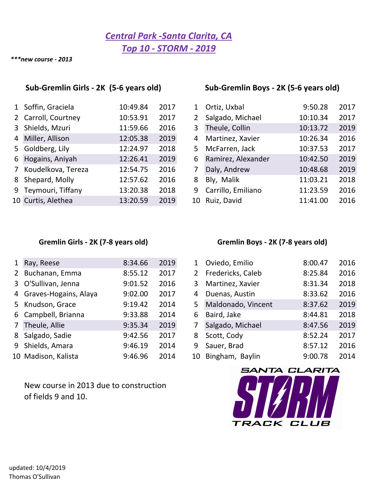## *Central Park ‐Santa Clarita, CA Top 10 ‐ STORM ‐ 2019*

*\*\*\*new course ‐ 2013*

### **Sub‐Gremlin Girls ‐ 2K (5‐6 years old) Sub‐Gremlin Boys ‐ 2K (5‐6 years old)**

| 1 Soffin, Graciela   | 10:49.84 | 2017 | $1\overline{ }$ | Ortiz, Uxbal       | 9:50.28  | 2017 |
|----------------------|----------|------|-----------------|--------------------|----------|------|
| 2 Carroll, Courtney  | 10:53.91 | 2017 | 2               | Salgado, Michael   | 10:10.34 | 2017 |
| 3 Shields, Mzuri     | 11:59.66 | 2016 | 3               | Theule, Collin     | 10:13.72 | 2019 |
| 4 Miller, Allison    | 12:05.38 | 2019 | 4               | Martinez, Xavier   | 10:26.34 | 2016 |
| 5 Goldberg, Lily     | 12:24.97 | 2018 | 5.              | McFarren, Jack     | 10:37.53 | 2017 |
| 6 Hogains, Aniyah    | 12:26.41 | 2019 | 6               | Ramirez, Alexander | 10:42.50 | 2019 |
| 7 Koudelkova, Tereza | 12:54.75 | 2016 |                 | Daly, Andrew       | 10:48.68 | 2019 |
| 8 Shepard, Molly     | 12:57.62 | 2016 | 8               | Bly, Malik         | 11:03.21 | 2018 |
| 9 Teymouri, Tiffany  | 13:20.38 | 2018 | 9               | Carrillo, Emiliano | 11:23.59 | 2016 |
| 10 Curtis, Alethea   | 13:20.59 | 2019 |                 | 10 Ruiz, David     | 11:41.00 | 2016 |

| 1  | Ortiz, Uxbal       | 9:50.28  | 2017 |
|----|--------------------|----------|------|
| 2  | Salgado, Michael   | 10:10.34 | 2017 |
| 3  | Theule, Collin     | 10:13.72 | 2019 |
| 4  | Martinez, Xavier   | 10:26.34 | 2016 |
| 5  | McFarren, Jack     | 10:37.53 | 2017 |
| 6  | Ramirez, Alexander | 10:42.50 | 2019 |
| 7  | Daly, Andrew       | 10:48.68 | 2019 |
| 8  | Bly, Malik         | 11:03.21 | 2018 |
| 9  | Carrillo, Emiliano | 11:23.59 | 2016 |
| 10 | Ruiz, David        | 11:41.00 | 2016 |

### **Gremlin Girls ‐ 2K (7‐8 years old) Gremlin Boys ‐ 2K (7‐8 years old)**

| 1 Ray, Reese            | 8:34.66 | 2019 |    | Oviedo, Emilio     | 8:00.47 | 2016 |
|-------------------------|---------|------|----|--------------------|---------|------|
| 2 Buchanan, Emma        | 8:55.12 | 2017 | 2  | Fredericks, Caleb  | 8:25.84 | 2016 |
| 3 O'Sullivan, Jenna     | 9:01.52 | 2016 | 3. | Martinez, Xavier   | 8:31.34 | 2018 |
| 4 Graves-Hogains, Alaya | 9:02.00 | 2017 | 4  | Duenas, Austin     | 8:33.62 | 2016 |
| 5 Knudson, Grace        | 9:19.42 | 2014 | 5. | Maldonado, Vincent | 8:37.62 | 2019 |
| 6 Campbell, Brianna     | 9:33.88 | 2014 | 6  | Baird, Jake        | 8:44.81 | 2018 |
| 7 Theule, Allie         | 9:35.34 | 2019 |    | Salgado, Michael   | 8:47.56 | 2019 |
| 8 Salgado, Sadie        | 9:42.56 | 2017 | 8  | Scott, Cody        | 8:52.24 | 2017 |
| 9 Shields, Amara        | 9:46.19 | 2014 | 9  | Sauer, Brad        | 8:57.12 | 2016 |
| 10 Madison, Kalista     | 9:46.96 | 2014 |    | 10 Bingham, Baylin | 9:00.78 | 2014 |

New course in 2013 due to construction of fields 9 and 10.

| $\mathbf{1}$   | Oviedo, Emilio     | 8:00.47 | 2016 |
|----------------|--------------------|---------|------|
| $\overline{2}$ | Fredericks, Caleb  | 8:25.84 | 2016 |
| 3              | Martinez, Xavier   | 8:31.34 | 2018 |
| 4              | Duenas, Austin     | 8:33.62 | 2016 |
| 5              | Maldonado, Vincent | 8:37.62 | 2019 |
| 6              | Baird, Jake        | 8:44.81 | 2018 |
| $\overline{7}$ | Salgado, Michael   | 8:47.56 | 2019 |
| 8              | Scott, Cody        | 8:52.24 | 2017 |
| 9              | Sauer, Brad        | 8:57.12 | 2016 |
| 10             | Bingham, Baylin    | 9:00.78 | 2014 |

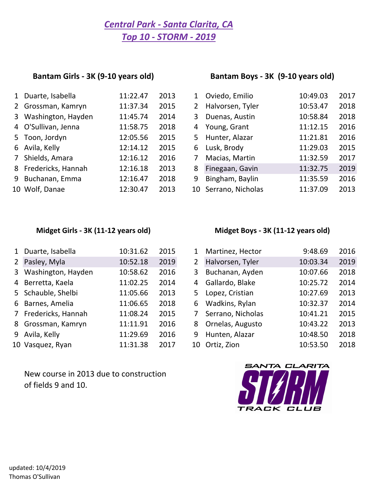## *Central Park ‐ Santa Clarita, CA Top 10 ‐ STORM ‐ 2019*

## **Bantam Girls ‐ 3K (9‐10 years old)**

### **Bantam Boys ‐ 3K (9‐10 years old)**

| 1 Duarte, Isabella   | 11:22.47 | 2013 | 1                     | Oviedo, Emilio       | 10:49.03 | 2017 |
|----------------------|----------|------|-----------------------|----------------------|----------|------|
| 2 Grossman, Kamryn   | 11:37.34 | 2015 | $\mathbf{2}^{\prime}$ | Halvorsen, Tyler     | 10:53.47 | 2018 |
| 3 Washington, Hayden | 11:45.74 | 2014 | 3.                    | Duenas, Austin       | 10:58.84 | 2018 |
| 4 O'Sullivan, Jenna  | 11:58.75 | 2018 | 4                     | Young, Grant         | 11:12.15 | 2016 |
| 5 Toon, Jordyn       | 12:05.56 | 2015 | 5.                    | Hunter, Alazar       | 11:21.81 | 2016 |
| 6 Avila, Kelly       | 12:14.12 | 2015 | 6                     | Lusk, Brody          | 11:29.03 | 2015 |
| 7 Shields, Amara     | 12:16.12 | 2016 |                       | Macias, Martin       | 11:32.59 | 2017 |
| 8 Fredericks, Hannah | 12:16.18 | 2013 | 8                     | Finegaan, Gavin      | 11:32.75 | 2019 |
| 9 Buchanan, Emma     | 12:16.47 | 2018 | 9                     | Bingham, Baylin      | 11:35.59 | 2016 |
| 10 Wolf, Danae       | 12:30.47 | 2013 |                       | 10 Serrano, Nicholas | 11:37.09 | 2013 |
|                      |          |      |                       |                      |          |      |

|                | Oviedo, Emilio    | 10:49.03 | 2017 |
|----------------|-------------------|----------|------|
| $\overline{2}$ | Halvorsen, Tyler  | 10:53.47 | 2018 |
| 3              | Duenas, Austin    | 10:58.84 | 2018 |
| 4              | Young, Grant      | 11:12.15 | 2016 |
| 5.             | Hunter, Alazar    | 11:21.81 | 2016 |
| 6              | Lusk, Brody       | 11:29.03 | 2015 |
| 7              | Macias, Martin    | 11:32.59 | 2017 |
| 8              | Finegaan, Gavin   | 11:32.75 | 2019 |
| 9              | Bingham, Baylin   | 11:35.59 | 2016 |
| 10             | Serrano, Nicholas | 11:37.09 | 2013 |
|                |                   |          |      |

### **Midget Girls ‐ 3K (11‐12 years old) Midget Boys ‐ 3K (11‐12 years old)**

| 1 Duarte, Isabella   | 10:31.62 | 2015 | $\mathbf{1}$ | Martinez, Hector  | 9:48.69  | 2016 |
|----------------------|----------|------|--------------|-------------------|----------|------|
| 2 Pasley, Myla       | 10:52.18 | 2019 | 2            | Halvorsen, Tyler  | 10:03.34 | 2019 |
| 3 Washington, Hayden | 10:58.62 | 2016 | 3            | Buchanan, Ayden   | 10:07.66 | 2018 |
| 4 Berretta, Kaela    | 11:02.25 | 2014 | 4            | Gallardo, Blake   | 10:25.72 | 2014 |
| 5 Schauble, Shelbi   | 11:05.66 | 2013 | 5.           | Lopez, Cristian   | 10:27.69 | 2013 |
| 6 Barnes, Amelia     | 11:06.65 | 2018 | 6            | Wadkins, Rylan    | 10:32.37 | 2014 |
| 7 Fredericks, Hannah | 11:08.24 | 2015 | 7            | Serrano, Nicholas | 10:41.21 | 2015 |
| 8 Grossman, Kamryn   | 11:11.91 | 2016 | 8            | Ornelas, Augusto  | 10:43.22 | 2013 |
| 9 Avila, Kelly       | 11:29.69 | 2016 | 9            | Hunten, Alazar    | 10:48.50 | 2018 |
| 10 Vasquez, Ryan     | 11:31.38 | 2017 |              | 10 Ortiz, Zion    | 10:53.50 | 2018 |

New course in 2013 due to construction of fields 9 and 10.

| $\mathbf{1}$   | Martinez, Hector  | 9:48.69  | 2016 |
|----------------|-------------------|----------|------|
| $\overline{2}$ | Halvorsen, Tyler  | 10:03.34 | 2019 |
| 3              | Buchanan, Ayden   | 10:07.66 | 2018 |
| 4              | Gallardo, Blake   | 10:25.72 | 2014 |
| 5              | Lopez, Cristian   | 10:27.69 | 2013 |
| 6              | Wadkins, Rylan    | 10:32.37 | 2014 |
| 7              | Serrano, Nicholas | 10:41.21 | 2015 |
| 8              | Ornelas, Augusto  | 10:43.22 | 2013 |
| 9              | Hunten, Alazar    | 10:48.50 | 2018 |
| 10             | Ortiz, Zion       | 10:53.50 | 2018 |